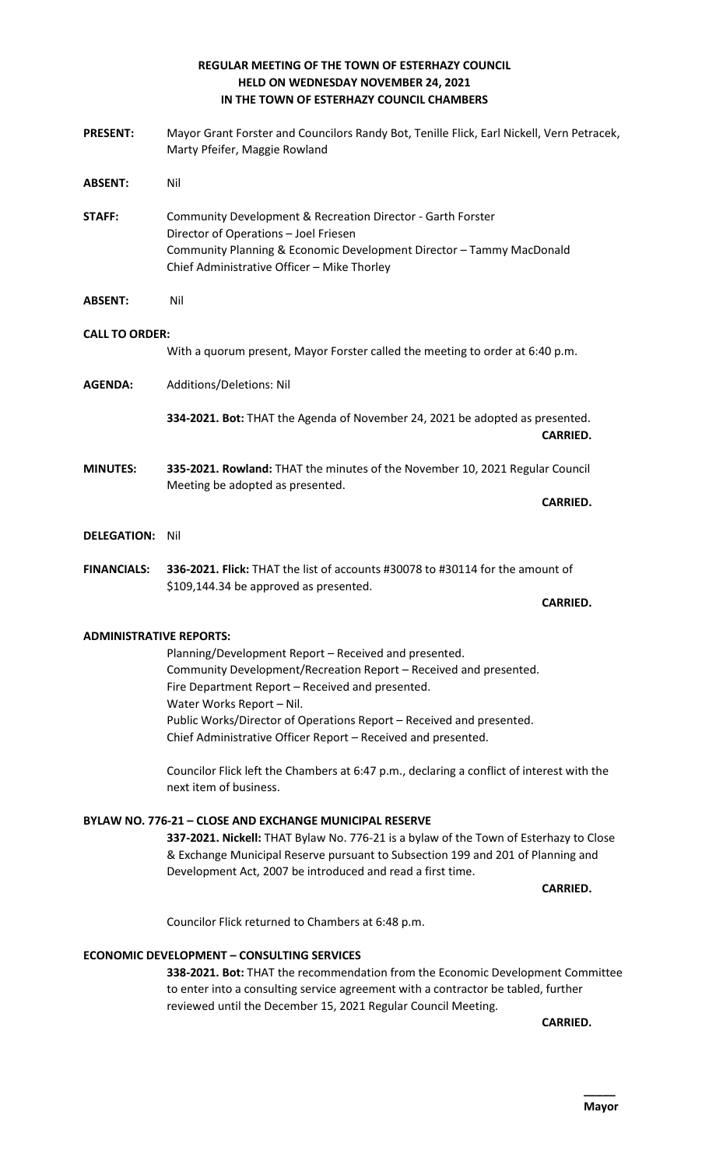## **REGULAR MEETING OF THE TOWN OF ESTERHAZY COUNCIL HELD ON WEDNESDAY NOVEMBER 24, 2021 IN THE TOWN OF ESTERHAZY COUNCIL CHAMBERS**

| <b>PRESENT:</b>       | Mayor Grant Forster and Councilors Randy Bot, Tenille Flick, Earl Nickell, Vern Petracek,<br>Marty Pfeifer, Maggie Rowland                                                                                                  |
|-----------------------|-----------------------------------------------------------------------------------------------------------------------------------------------------------------------------------------------------------------------------|
| <b>ABSENT:</b>        | Nil                                                                                                                                                                                                                         |
| <b>STAFF:</b>         | Community Development & Recreation Director - Garth Forster<br>Director of Operations - Joel Friesen<br>Community Planning & Economic Development Director - Tammy MacDonald<br>Chief Administrative Officer - Mike Thorley |
| <b>ABSENT:</b>        | Nil                                                                                                                                                                                                                         |
| <b>CALL TO ORDER:</b> | With a quorum present, Mayor Forster called the meeting to order at 6:40 p.m.                                                                                                                                               |
| <b>AGENDA:</b>        | Additions/Deletions: Nil                                                                                                                                                                                                    |
|                       | 334-2021. Bot: THAT the Agenda of November 24, 2021 be adopted as presented.<br><b>CARRIED.</b>                                                                                                                             |
| <b>MINUTES:</b>       | 335-2021. Rowland: THAT the minutes of the November 10, 2021 Regular Council<br>Meeting be adopted as presented.<br><b>CARRIED.</b>                                                                                         |
| <b>DELEGATION:</b>    |                                                                                                                                                                                                                             |
|                       | Nil                                                                                                                                                                                                                         |
| <b>FINANCIALS:</b>    | 336-2021. Flick: THAT the list of accounts #30078 to #30114 for the amount of<br>\$109,144.34 be approved as presented.                                                                                                     |

#### **CARRIED.**

### **ADMINISTRATIVE REPORTS:**

Planning/Development Report – Received and presented. Community Development/Recreation Report – Received and presented. Fire Department Report – Received and presented. Water Works Report – Nil. Public Works/Director of Operations Report – Received and presented. Chief Administrative Officer Report – Received and presented.

Councilor Flick left the Chambers at 6:47 p.m., declaring a conflict of interest with the next item of business.

#### **BYLAW NO. 776-21 – CLOSE AND EXCHANGE MUNICIPAL RESERVE**

**337-2021. Nickell:** THAT Bylaw No. 776-21 is a bylaw of the Town of Esterhazy to Close & Exchange Municipal Reserve pursuant to Subsection 199 and 201 of Planning and Development Act, 2007 be introduced and read a first time.

**CARRIED.** 

Councilor Flick returned to Chambers at 6:48 p.m.

#### **ECONOMIC DEVELOPMENT – CONSULTING SERVICES**

**338-2021. Bot:** THAT the recommendation from the Economic Development Committee to enter into a consulting service agreement with a contractor be tabled, further reviewed until the December 15, 2021 Regular Council Meeting.

**CARRIED.**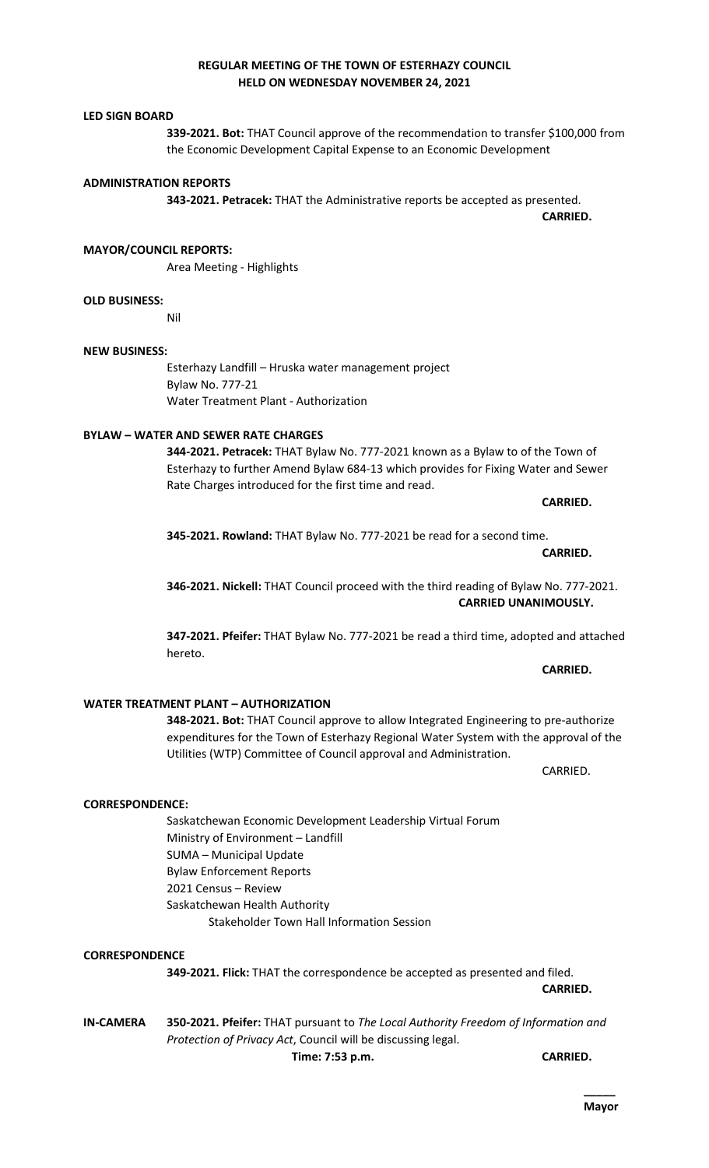## **REGULAR MEETING OF THE TOWN OF ESTERHAZY COUNCIL HELD ON WEDNESDAY NOVEMBER 24, 2021**

#### **LED SIGN BOARD**

**339-2021. Bot:** THAT Council approve of the recommendation to transfer \$100,000 from the Economic Development Capital Expense to an Economic Development

#### **ADMINISTRATION REPORTS**

**343-2021. Petracek:** THAT the Administrative reports be accepted as presented.

**MAYOR/COUNCIL REPORTS:**

Area Meeting - Highlights

#### **OLD BUSINESS:**

Nil

#### **NEW BUSINESS:**

Esterhazy Landfill – Hruska water management project Bylaw No. 777-21 Water Treatment Plant - Authorization

#### **BYLAW – WATER AND SEWER RATE CHARGES**

**344-2021. Petracek:** THAT Bylaw No. 777-2021 known as a Bylaw to of the Town of Esterhazy to further Amend Bylaw 684-13 which provides for Fixing Water and Sewer Rate Charges introduced for the first time and read.

**CARRIED.** 

**CARRIED.** 

**CARRIED UNANIMOUSLY.** 

**CARRIED.**

**345-2021. Rowland:** THAT Bylaw No. 777-2021 be read for a second time.

**346-2021. Nickell:** THAT Council proceed with the third reading of Bylaw No. 777-2021.

**347-2021. Pfeifer:** THAT Bylaw No. 777-2021 be read a third time, adopted and attached hereto.

#### **WATER TREATMENT PLANT – AUTHORIZATION**

Ministry of Environment – Landfill

Saskatchewan Health Authority

SUMA – Municipal Update Bylaw Enforcement Reports 2021 Census – Review

**348-2021. Bot:** THAT Council approve to allow Integrated Engineering to pre-authorize expenditures for the Town of Esterhazy Regional Water System with the approval of the Utilities (WTP) Committee of Council approval and Administration.

CARRIED.

**CARRIED.**

**349-2021. Flick:** THAT the correspondence be accepted as presented and filed. **CARRIED.** 

**IN-CAMERA 350-2021. Pfeifer:** THAT pursuant to *The Local Authority Freedom of Information and Protection of Privacy Act*, Council will be discussing legal. **Time: 7:53 p.m. CARRIED.** 

Saskatchewan Economic Development Leadership Virtual Forum

Stakeholder Town Hall Information Session

**CORRESPONDENCE:**

**CORRESPONDENCE**